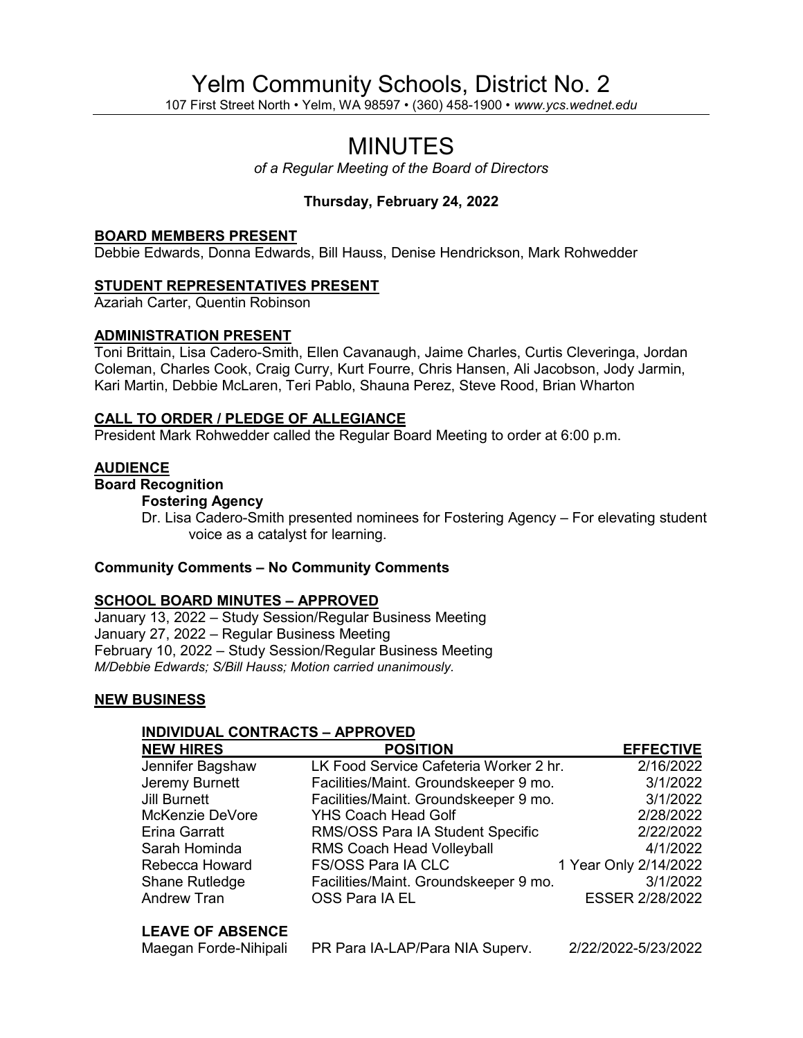# Yelm Community Schools, District No. 2

107 First Street North • Yelm, WA 98597 • (360) 458-1900 • *www.ycs.wednet.edu*

## MINUTES

*of a Regular Meeting of the Board of Directors*

## **Thursday, February 24, 2022**

#### **BOARD MEMBERS PRESENT**

Debbie Edwards, Donna Edwards, Bill Hauss, Denise Hendrickson, Mark Rohwedder

#### **STUDENT REPRESENTATIVES PRESENT**

Azariah Carter, Quentin Robinson

#### **ADMINISTRATION PRESENT**

Toni Brittain, Lisa Cadero-Smith, Ellen Cavanaugh, Jaime Charles, Curtis Cleveringa, Jordan Coleman, Charles Cook, Craig Curry, Kurt Fourre, Chris Hansen, Ali Jacobson, Jody Jarmin, Kari Martin, Debbie McLaren, Teri Pablo, Shauna Perez, Steve Rood, Brian Wharton

#### **CALL TO ORDER / PLEDGE OF ALLEGIANCE**

President Mark Rohwedder called the Regular Board Meeting to order at 6:00 p.m.

#### **AUDIENCE**

## **Board Recognition**

## **Fostering Agency**

Dr. Lisa Cadero-Smith presented nominees for Fostering Agency – For elevating student voice as a catalyst for learning.

#### **Community Comments – No Community Comments**

#### **SCHOOL BOARD MINUTES – APPROVED**

January 13, 2022 – Study Session/Regular Business Meeting January 27, 2022 – Regular Business Meeting February 10, 2022 – Study Session/Regular Business Meeting *M/Debbie Edwards; S/Bill Hauss; Motion carried unanimously.*

#### **NEW BUSINESS**

#### **INDIVIDUAL CONTRACTS – APPROVED**

| <b>NEW HIRES</b>        | <b>POSITION</b>                        | <b>EFFECTIVE</b>      |
|-------------------------|----------------------------------------|-----------------------|
| Jennifer Bagshaw        | LK Food Service Cafeteria Worker 2 hr. | 2/16/2022             |
| Jeremy Burnett          | Facilities/Maint. Groundskeeper 9 mo.  | 3/1/2022              |
| <b>Jill Burnett</b>     | Facilities/Maint. Groundskeeper 9 mo.  | 3/1/2022              |
| McKenzie DeVore         | <b>YHS Coach Head Golf</b>             | 2/28/2022             |
| <b>Erina Garratt</b>    | RMS/OSS Para IA Student Specific       | 2/22/2022             |
| Sarah Hominda           | <b>RMS Coach Head Volleyball</b>       | 4/1/2022              |
| Rebecca Howard          | FS/OSS Para IA CLC                     | 1 Year Only 2/14/2022 |
| Shane Rutledge          | Facilities/Maint. Groundskeeper 9 mo.  | 3/1/2022              |
| <b>Andrew Tran</b>      | OSS Para IA EL                         | ESSER 2/28/2022       |
| <b>LEAVE OF ABSENCE</b> |                                        |                       |

Maegan Forde-Nihipali PR Para IA-LAP/Para NIA Superv. 2/22/2022-5/23/2022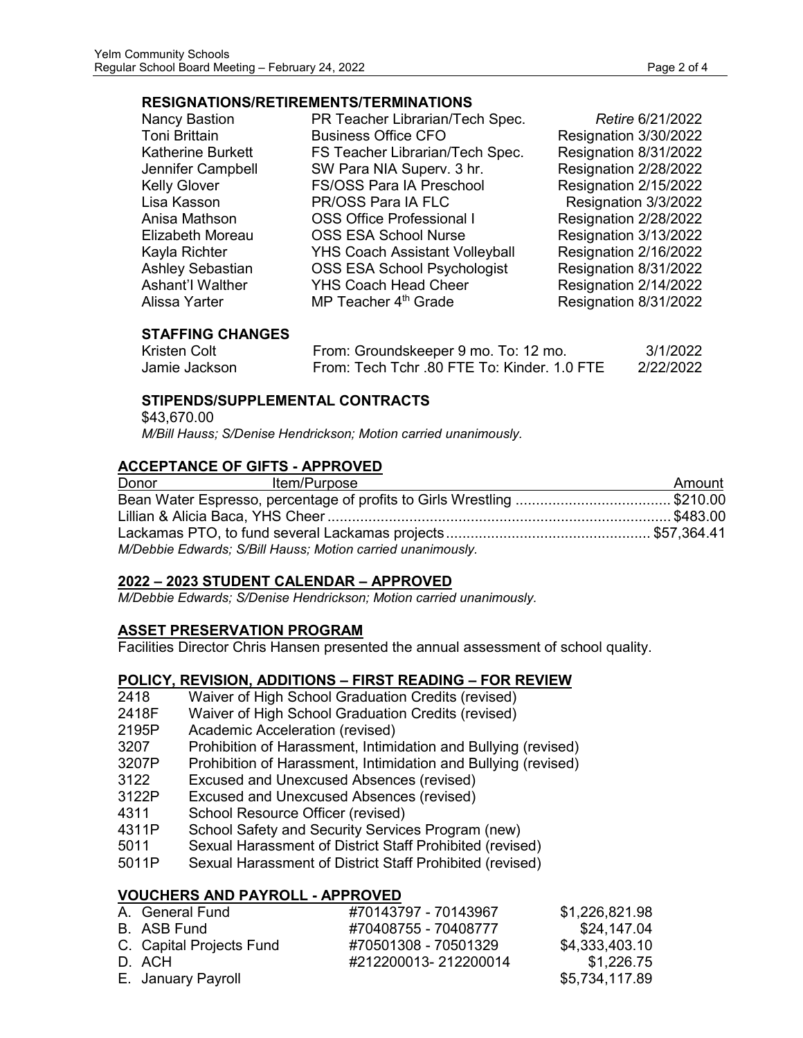#### **RESIGNATIONS/RETIREMENTS/TERMINATIONS**

| <b>Nancy Bastion</b>     | PR Teacher Librarian/Tech Spec.       | Retire 6/21/2022      |
|--------------------------|---------------------------------------|-----------------------|
| <b>Toni Brittain</b>     | <b>Business Office CFO</b>            | Resignation 3/30/2022 |
| <b>Katherine Burkett</b> | FS Teacher Librarian/Tech Spec.       | Resignation 8/31/2022 |
| Jennifer Campbell        | SW Para NIA Superv. 3 hr.             | Resignation 2/28/2022 |
| <b>Kelly Glover</b>      | FS/OSS Para IA Preschool              | Resignation 2/15/2022 |
| Lisa Kasson              | PR/OSS Para IA FLC                    | Resignation 3/3/2022  |
| Anisa Mathson            | <b>OSS Office Professional I</b>      | Resignation 2/28/2022 |
| Elizabeth Moreau         | <b>OSS ESA School Nurse</b>           | Resignation 3/13/2022 |
| Kayla Richter            | <b>YHS Coach Assistant Volleyball</b> | Resignation 2/16/2022 |
| <b>Ashley Sebastian</b>  | <b>OSS ESA School Psychologist</b>    | Resignation 8/31/2022 |
| Ashant'l Walther         | <b>YHS Coach Head Cheer</b>           | Resignation 2/14/2022 |
| Alissa Yarter            | MP Teacher 4 <sup>th</sup> Grade      | Resignation 8/31/2022 |

## **STAFFING CHANGES**

| Kristen Colt  | From: Groundskeeper 9 mo. To: 12 mo.        | 3/1/2022  |
|---------------|---------------------------------------------|-----------|
| Jamie Jackson | From: Tech Tchr .80 FTE To: Kinder, 1.0 FTE | 2/22/2022 |

## **STIPENDS/SUPPLEMENTAL CONTRACTS**

\$43,670.00  *M/Bill Hauss; S/Denise Hendrickson; Motion carried unanimously.*

#### **ACCEPTANCE OF GIFTS - APPROVED**

| Donor | Item/Purpose                                                           | Amount |
|-------|------------------------------------------------------------------------|--------|
|       | Bean Water Espresso, percentage of profits to Girls Wrestling \$210.00 |        |
|       |                                                                        |        |
|       |                                                                        |        |
|       | M/Debbie Edwards; S/Bill Hauss; Motion carried unanimously.            |        |

## **2022 – 2023 STUDENT CALENDAR – APPROVED**

*M/Debbie Edwards; S/Denise Hendrickson; Motion carried unanimously.*

## **ASSET PRESERVATION PROGRAM**

Facilities Director Chris Hansen presented the annual assessment of school quality.

## **POLICY, REVISION, ADDITIONS – FIRST READING – FOR REVIEW**

- 2418 Waiver of High School Graduation Credits (revised)
- 2418F Waiver of High School Graduation Credits (revised)
- 2195P Academic Acceleration (revised)
- 3207 Prohibition of Harassment, Intimidation and Bullying (revised)
- 3207P Prohibition of Harassment, Intimidation and Bullying (revised)<br>3122 Excused and Unexcused Absences (revised)
- Excused and Unexcused Absences (revised)
- 3122P Excused and Unexcused Absences (revised)
- 4311 School Resource Officer (revised)
- 4311P School Safety and Security Services Program (new)
- 5011 Sexual Harassment of District Staff Prohibited (revised)
- 5011P Sexual Harassment of District Staff Prohibited (revised)

## **VOUCHERS AND PAYROLL - APPROVED**

| A. General Fund          | #70143797 - 70143967 | \$1,226,821.98 |
|--------------------------|----------------------|----------------|
| B. ASB Fund              | #70408755 - 70408777 | \$24,147,04    |
| C. Capital Projects Fund | #70501308 - 70501329 | \$4,333,403.10 |
| D. ACH                   | #212200013-212200014 | \$1,226.75     |
| E. January Payroll       |                      | \$5,734,117.89 |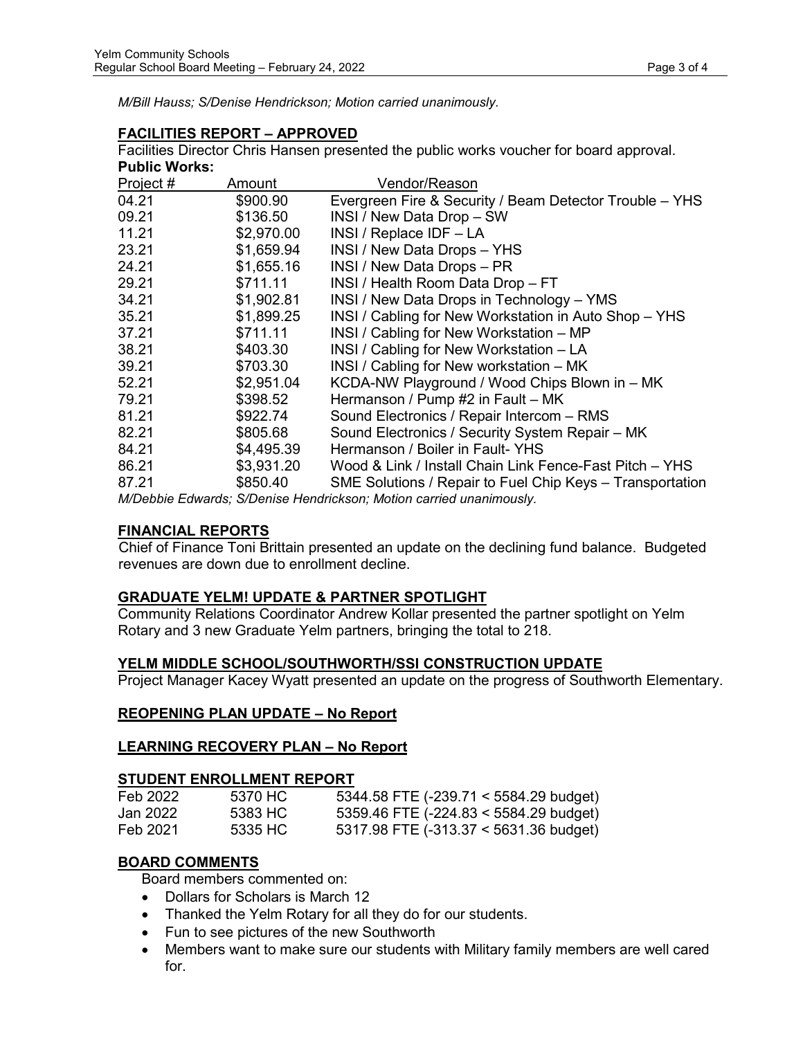*M/Bill Hauss; S/Denise Hendrickson; Motion carried unanimously.*

## **FACILITIES REPORT – APPROVED**

Facilities Director Chris Hansen presented the public works voucher for board approval. **Public Works:**

| Project # | Amount     | Vendor/Reason                                                        |
|-----------|------------|----------------------------------------------------------------------|
| 04.21     | \$900.90   | Evergreen Fire & Security / Beam Detector Trouble - YHS              |
| 09.21     | \$136.50   | INSI / New Data Drop - SW                                            |
| 11.21     | \$2,970.00 | INSI / Replace IDF - LA                                              |
| 23.21     | \$1,659.94 | INSI / New Data Drops - YHS                                          |
| 24.21     | \$1,655.16 | INSI / New Data Drops - PR                                           |
| 29.21     | \$711.11   | INSI / Health Room Data Drop - FT                                    |
| 34.21     | \$1,902.81 | INSI / New Data Drops in Technology - YMS                            |
| 35.21     | \$1,899.25 | INSI / Cabling for New Workstation in Auto Shop - YHS                |
| 37.21     | \$711.11   | INSI / Cabling for New Workstation - MP                              |
| 38.21     | \$403.30   | INSI / Cabling for New Workstation - LA                              |
| 39.21     | \$703.30   | INSI / Cabling for New workstation - MK                              |
| 52.21     | \$2,951.04 | KCDA-NW Playground / Wood Chips Blown in - MK                        |
| 79.21     | \$398.52   | Hermanson / Pump #2 in Fault – MK                                    |
| 81.21     | \$922.74   | Sound Electronics / Repair Intercom - RMS                            |
| 82.21     | \$805.68   | Sound Electronics / Security System Repair - MK                      |
| 84.21     | \$4,495.39 | Hermanson / Boiler in Fault-YHS                                      |
| 86.21     | \$3,931.20 | Wood & Link / Install Chain Link Fence-Fast Pitch - YHS              |
| 87.21     | \$850.40   | SME Solutions / Repair to Fuel Chip Keys - Transportation            |
|           |            | MO-bbis Februaria: OD-puisa Usualuistra ano Matiano a quia el cuando |

*M/Debbie Edwards; S/Denise Hendrickson; Motion carried unanimously.*

## **FINANCIAL REPORTS**

 Chief of Finance Toni Brittain presented an update on the declining fund balance. Budgeted revenues are down due to enrollment decline.

## **GRADUATE YELM! UPDATE & PARTNER SPOTLIGHT**

Community Relations Coordinator Andrew Kollar presented the partner spotlight on Yelm Rotary and 3 new Graduate Yelm partners, bringing the total to 218.

## **YELM MIDDLE SCHOOL/SOUTHWORTH/SSI CONSTRUCTION UPDATE**

Project Manager Kacey Wyatt presented an update on the progress of Southworth Elementary.

## **REOPENING PLAN UPDATE – No Report**

#### **LEARNING RECOVERY PLAN – No Report**

#### **STUDENT ENROLLMENT REPORT**

| Feb 2022  | 5370 HC | 5344.58 FTE (-239.71 < 5584.29 budget)     |
|-----------|---------|--------------------------------------------|
| Jan 2022. | 5383 HC | 5359.46 FTE $(-224.83 \le 5584.29$ budget) |
| Feb 2021  | 5335 HC | 5317.98 FTE (-313.37 < 5631.36 budget)     |

## **BOARD COMMENTS**

Board members commented on:

- Dollars for Scholars is March 12
- Thanked the Yelm Rotary for all they do for our students.
- Fun to see pictures of the new Southworth
- Members want to make sure our students with Military family members are well cared for.